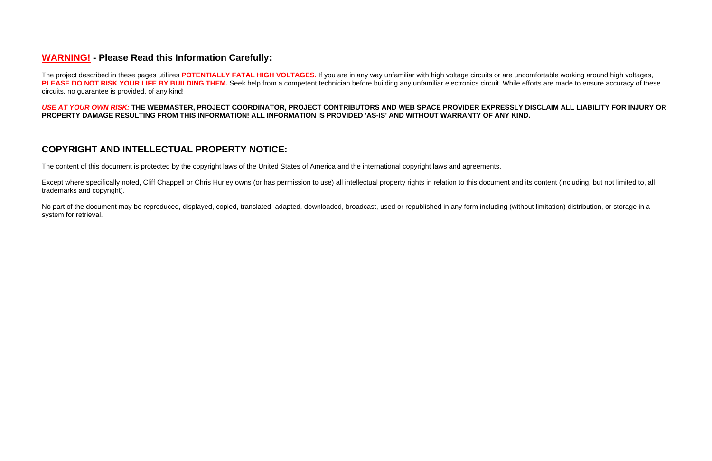## **WARNING! - Please Read this Information Carefully:**

The project described in these pages utilizes **POTENTIALLY FATAL HIGH VOLTAGES.** If you are in any way unfamiliar with high voltage circuits or are uncomfortable working around high voltages, PLEASE DO NOT RISK YOUR LIFE BY BUILDING THEM. Seek help from a competent technician before building any unfamiliar electronics circuit. While efforts are made to ensure accuracy of these circuits, no guarantee is provided, of any kind!

Except where specifically noted, Cliff Chappell or Chris Hurley owns (or has permission to use) all intellectual property rights in relation to this document and its content (including, but not limited to, all trademarks and copyright).

## *USE AT YOUR OWN RISK:* **THE WEBMASTER, PROJECT COORDINATOR, PROJECT CONTRIBUTORS AND WEB SPACE PROVIDER EXPRESSLY DISCLAIM ALL LIABILITY FOR INJURY OR PROPERTY DAMAGE RESULTING FROM THIS INFORMATION! ALL INFORMATION IS PROVIDED 'AS-IS' AND WITHOUT WARRANTY OF ANY KIND.**

No part of the document may be reproduced, displayed, copied, translated, adapted, downloaded, broadcast, used or republished in any form including (without limitation) distribution, or storage in a system for retrieval.

# **COPYRIGHT AND INTELLECTUAL PROPERTY NOTICE:**

The content of this document is protected by the copyright laws of the United States of America and the international copyright laws and agreements.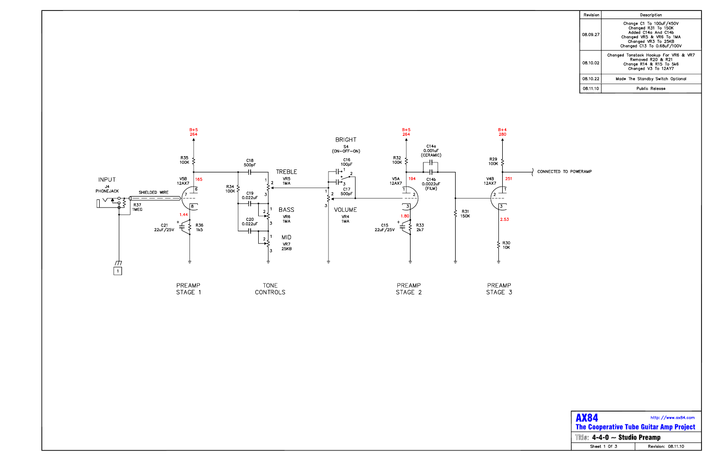

| Revision | Description                                                                                                                                            |
|----------|--------------------------------------------------------------------------------------------------------------------------------------------------------|
| 08.09.27 | Change C1 To 100uF/450V<br>Changed R31 To 150K<br>Added C14a And C14b<br>Changed VR5 & VR6 To 1MA<br>Changed VR3 To 25KB<br>Changed C13 To 0.68uF/100V |
| 08.10.02 | Changed Tonstack Hookup For VR6 & VR7<br>Removed R20 & R21<br>Change R14 & R15 To 5k6<br>Changed V3 To 12AY7                                           |
| 08.10.22 | Made The Standby Switch Optional                                                                                                                       |
| 08.11.10 | Public Release                                                                                                                                         |

CONNECTED TO POWERAMP

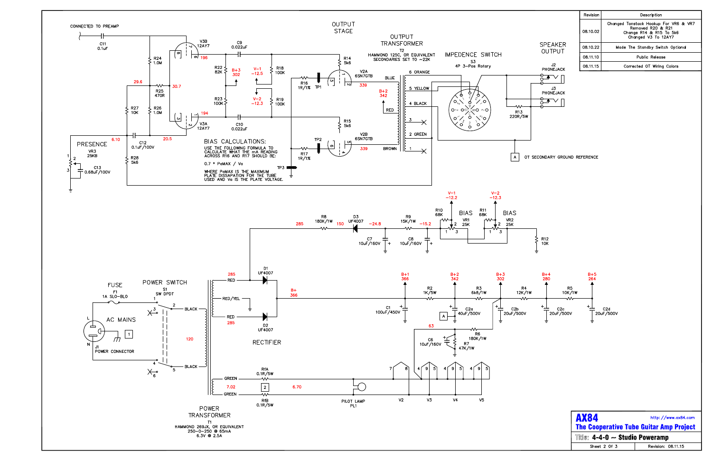

| SPFAKFR<br>OUTPUT |
|-------------------|
| J2<br>PHONEJACK   |
|                   |
| J3<br>PHONEJACK   |
|                   |
|                   |

| Revision | Description                                                                                                  |  |
|----------|--------------------------------------------------------------------------------------------------------------|--|
| 08.10.02 | Changed Tonstack Hookup For VR6 & VR7<br>Removed R20 & R21<br>Change R14 & R15 To 5k6<br>Changed V3 To 12AY7 |  |
| 08.10.22 | Made The Standby Switch Optional                                                                             |  |
| 08.11.10 | Public Release                                                                                               |  |
| 08.11.15 | Corrected OT Wiring Colors                                                                                   |  |

| <b>AX84</b>                                           | http://www.ax84.com |  |
|-------------------------------------------------------|---------------------|--|
| <b>The Cooperative Tube Guitar Amp Project</b>        |                     |  |
| <b>Title: 4-4-0 <math>\sim</math> Studio Poweramp</b> |                     |  |
| Sheet 2 Of 3                                          | Revision: 08.11.15  |  |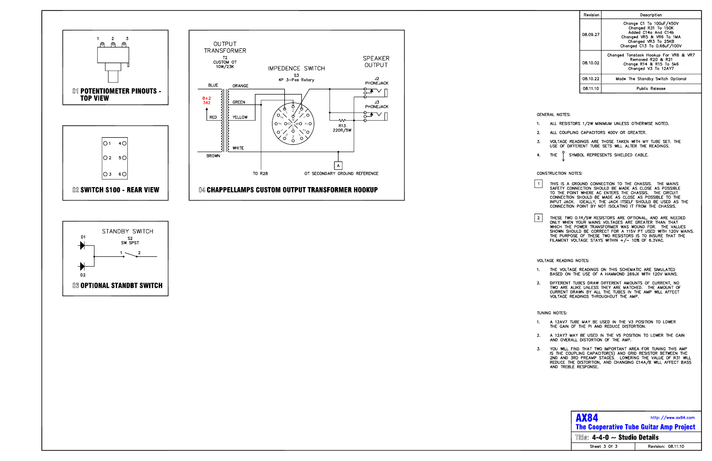



| Revision | Description                                                                                                                                            |  |
|----------|--------------------------------------------------------------------------------------------------------------------------------------------------------|--|
| 08.09.27 | Change C1 To 100uF/450V<br>Changed R31 To 150K<br>Added C14a And C14b<br>Changed VR5 & VR6 To 1MA<br>Changed VR3 To 25KB<br>Changed C13 To 0.68uF/100V |  |
| 08.10.02 | Changed Tonstack Hookup For VR6 & VR7<br>Removed R20 & R21<br>Change R14 & R15 To 5k6<br>Changed V3 To 12AY7                                           |  |
| 08.10.22 | Made The Standby Switch Optional                                                                                                                       |  |
| 08.11.10 | Public Release                                                                                                                                         |  |

### **GENERAL NOTES:**

- ALL RESISTORS 1/2W MINIMUM UNLESS OTHERWISE NOTED.  $\mathbf{1}$ .
- ALL COUPLING CAPACITORS 400V OR GREATER.  $2.$
- $3.$ VOLTAGE READINGS ARE THOSE TAKEN WITH MY TUBE SET. THE USE OF DIFFERENT TUBE SETS WILL ALTER THE READINGS.
- SYMBOL REPRESENTS SHIELDED CABLE. THE 4.

#### CONSTRUCTION NOTES:

- THIS IS A GROUND CONNECTION TO THE CHASSIS. THE MAINS<br>SAFETY CONNECTION SHOULD BE MADE AS CLOSE AS POSSIBLE<br>TO THE POINT WHERE AC ENTERS THE CHASSIS. THE CIRCUIT<br>CONNECTION SHOULD BE MADE AS CLOSE AS POSSIBLE TO THE  $\vert$  1 INPUT JACK. IDEALLY, THE JACK ITSELF SHOULD BE USED AS THE CONNECTION POINT BY NOT ISOLATING IT FROM THE CHASSIS.
- $\boxed{2}$ THESE TWO 0.1R/5W RESISTORS ARE OPTIONAL, AND ARE NEEDED<br>ONLY WHEN YOUR MAINS VOLTAGES ARE GREATER THAN THAT WHICH THE POWER TRANSFORMER WAS WOUND FOR. THE VALUES<br>SHOWN SHOULD BE CORRECT FOR A 115V PT USED WITH 120V MAINS. THE PURPOSE OF THESE TWO RESISTORS IS TO INSURE THAT THE FILAMENT VOLTAGE STAYS WITHIN +/- 10% OF 6.3VAC.

### VOLTAGE READING NOTES:

- THE VOLTAGE READINGS ON THIS SCHEMATIC ARE SIMULATED  $\overline{1}$ . BASED ON THE USE OF A HAMMOND 269JX WITH 120V MAINS.
- DIFFERENT TUBES DRAW DIFFERENT AMOUNTS OF CURRENT, NO  $2.$ TWO ARE ALIKE UNLESS THEY ARE MATCHED. THE AMOUNT OF CURRENT DRAWN BY ALL THE TUBES IN THE AMP WILL AFFECT VOLTAGE READINGS THROUGHOUT THE AMP.

#### TUNING NOTES:

- A 12AV7 TUBE MAY BE USED IN THE V3 POSITION TO LOWER  $\overline{1}$ . THE GAIN OF THE PI AND REDUCE DISTORTION.
- A 12AY7 MAY BE USED IN THE V5 POSITION TO LOWER THE GAIN  $2.$ AND OVERALL DISTORTION OF THE AMP.
- $3.$ YOU WILL FIND THAT TWO IMPORTANT AREA FOR TUNING THIS AMP IS THE COUPLING CAPACITOR(S) AND GRID RESISTOR BETWEEN THE<br>2ND AND 3RD PREAMP STAGES. LOWERING THE VALUE OF R31 WILL REDUCE THE DISTORTION, AND CHANGING C14A/B WILL AFFECT BASS AND TREBLE RESPONSE.

| <b>AX84</b><br>http://www.ax84.com<br><b>The Cooperative Tube Guitar Amp Project</b> |                    |  |
|--------------------------------------------------------------------------------------|--------------------|--|
| Title: $4-4-0 \sim$ Studio Details                                                   |                    |  |
| Sheet 3 Of 3                                                                         | Revision: 08.11.10 |  |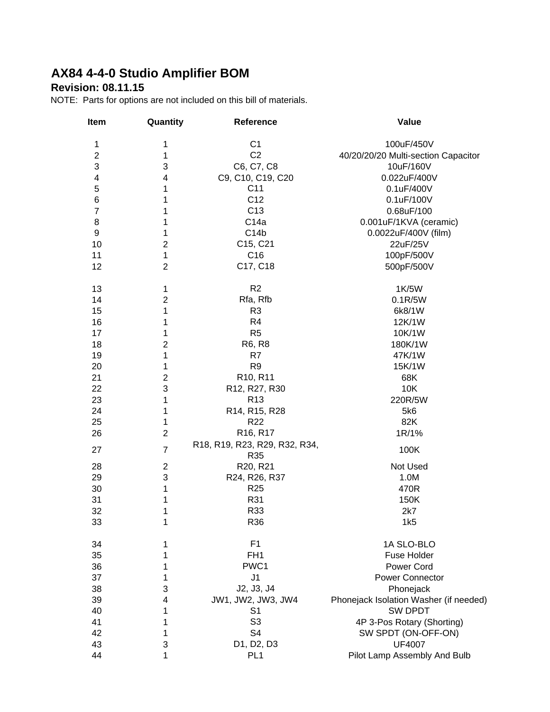# **AX84 4-4-0 Studio Amplifier BOM**

### **Revision: 08.11.15**

NOTE: Parts for options are not included on this bill of materials.

| Item                    | Quantity       | Reference                         | Value                                  |
|-------------------------|----------------|-----------------------------------|----------------------------------------|
| 1                       | 1              | C <sub>1</sub>                    | 100uF/450V                             |
| $\overline{c}$          | 1              | C <sub>2</sub>                    | 40/20/20/20 Multi-section Capacitor    |
| 3                       | 3              | C6, C7, C8                        | 10uF/160V                              |
| $\overline{\mathbf{4}}$ | 4              | C9, C10, C19, C20                 | 0.022uF/400V                           |
| $\mathbf 5$             | 1              | C <sub>11</sub>                   | 0.1uF/400V                             |
| $\,6$                   | 1              | C <sub>12</sub>                   | 0.1uF/100V                             |
| $\overline{7}$          | 1              | C <sub>13</sub>                   | 0.68uF/100                             |
| $\bf 8$                 | 1              | C <sub>14a</sub>                  | 0.001uF/1KVA (ceramic)                 |
| 9                       | 1              | C14b                              | 0.0022uF/400V (film)                   |
| 10                      | $\overline{2}$ | C15, C21                          | 22uF/25V                               |
| 11                      | 1              | C <sub>16</sub>                   | 100pF/500V                             |
| 12                      | $\overline{2}$ | C17, C18                          | 500pF/500V                             |
| 13                      | 1              | R2                                | 1K/5W                                  |
| 14                      | $\overline{2}$ | Rfa, Rfb                          | 0.1R/5W                                |
| 15                      | 1              | R <sub>3</sub>                    | 6k8/1W                                 |
| 16                      | 1              | R <sub>4</sub>                    | 12K/1W                                 |
| 17                      | 1              | R <sub>5</sub>                    | 10K/1W                                 |
| 18                      | 2              | R6, R8                            | 180K/1W                                |
| 19                      | 1              | R7                                | 47K/1W                                 |
| 20                      | 1              | R <sub>9</sub>                    | 15K/1W                                 |
| 21                      | $\mathbf{2}$   | R10, R11                          | 68K                                    |
| 22                      | 3              | R12, R27, R30                     | 10K                                    |
| 23                      | 1              | R <sub>13</sub>                   | 220R/5W                                |
| 24                      | 1              | R14, R15, R28                     | 5k6                                    |
| 25                      | 1              | R <sub>22</sub>                   | 82K                                    |
| 26                      | $\overline{2}$ | R <sub>16</sub> , R <sub>17</sub> | 1R/1%                                  |
|                         |                | R18, R19, R23, R29, R32, R34,     |                                        |
| 27                      | $\overline{7}$ | R35                               | 100K                                   |
| 28                      | $\overline{2}$ | R20, R21                          | Not Used                               |
| 29                      | 3              | R24, R26, R37                     | 1.0M                                   |
| 30                      | 1              | R <sub>25</sub>                   | 470R                                   |
| 31                      | 1              | R31                               | 150K                                   |
| 32                      | 1              | R33                               | 2k7                                    |
| 33                      | 1              | R36                               | 1k5                                    |
| 34                      | 1              | F <sub>1</sub>                    | 1A SLO-BLO                             |
| 35                      | 1              | FH <sub>1</sub>                   | Fuse Holder                            |
| 36                      | 1              | PWC1                              | Power Cord                             |
| 37                      | 1              | J <sub>1</sub>                    | <b>Power Connector</b>                 |
| 38                      | 3              | J2, J3, J4                        | Phonejack                              |
| 39                      | 4              | JW1, JW2, JW3, JW4                | Phonejack Isolation Washer (if needed) |
| 40                      | 1              | S1                                | <b>SW DPDT</b>                         |
| 41                      | 1              | S <sub>3</sub>                    | 4P 3-Pos Rotary (Shorting)             |
| 42                      | 1              | S <sub>4</sub>                    | SW SPDT (ON-OFF-ON)                    |
| 43                      | 3              | D1, D2, D3                        | <b>UF4007</b>                          |
| 44                      | 1              | PL <sub>1</sub>                   | Pilot Lamp Assembly And Bulb           |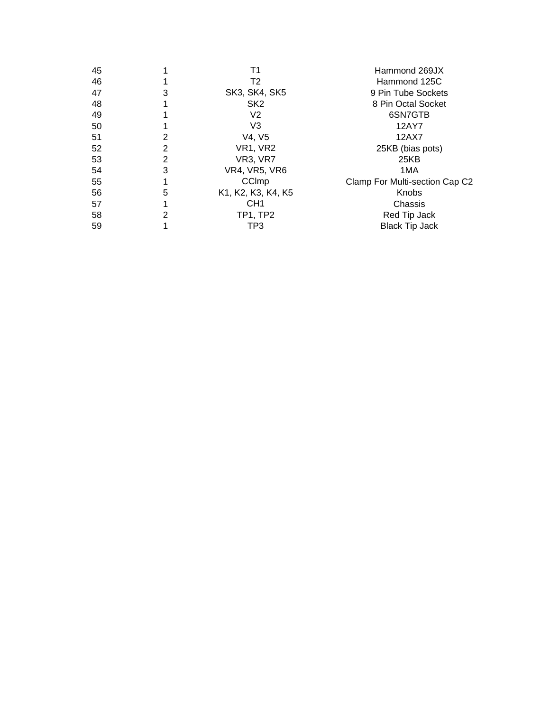| 45 |   | Τ1                   | Hammond 269JX                  |
|----|---|----------------------|--------------------------------|
| 46 |   | T2                   | Hammond 125C                   |
| 47 | 3 | <b>SK3, SK4, SK5</b> | 9 Pin Tube Sockets             |
| 48 |   | SK <sub>2</sub>      | 8 Pin Octal Socket             |
| 49 |   | V <sub>2</sub>       | 6SN7GTB                        |
| 50 |   | V3                   | 12AY7                          |
| 51 | 2 | V4, V5               | 12AX7                          |
| 52 | 2 | VR1, VR2             | 25KB (bias pots)               |
| 53 | 2 | VR3, VR7             | 25KB                           |
| 54 | 3 | <b>VR4, VR5, VR6</b> | 1MA                            |
| 55 |   | CCImp                | Clamp For Multi-section Cap C2 |
| 56 | 5 | K1, K2, K3, K4, K5   | Knobs                          |
| 57 |   | CH <sub>1</sub>      | Chassis                        |
| 58 | 2 | <b>TP1, TP2</b>      | Red Tip Jack                   |
| 59 |   | TP3                  | <b>Black Tip Jack</b>          |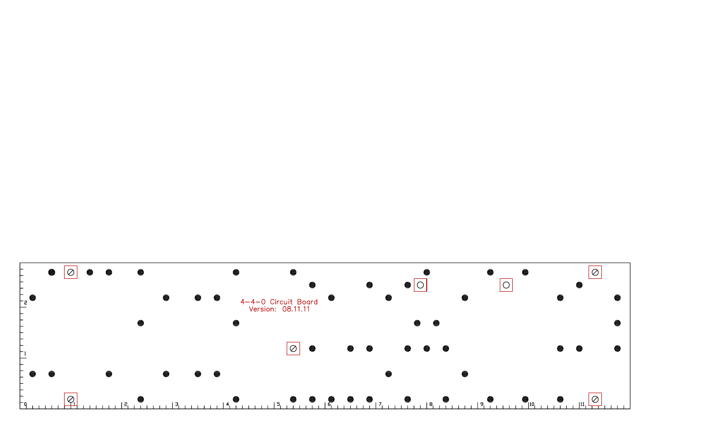